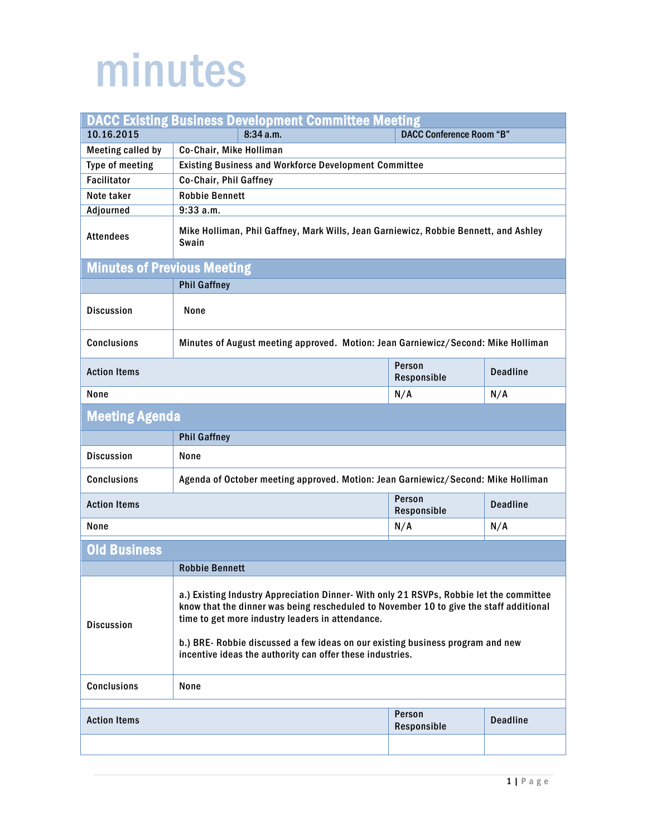## minutes

| <b>DACC Existing Business Development Committee Meeting</b> |                                                                                                                                                                                                                                                                                                                                                                                      |                       |                 |  |  |
|-------------------------------------------------------------|--------------------------------------------------------------------------------------------------------------------------------------------------------------------------------------------------------------------------------------------------------------------------------------------------------------------------------------------------------------------------------------|-----------------------|-----------------|--|--|
| 10.16.2015                                                  | <b>DACC Conference Room "B"</b><br>8:34 a.m.                                                                                                                                                                                                                                                                                                                                         |                       |                 |  |  |
| <b>Meeting called by</b>                                    | Co-Chair, Mike Holliman                                                                                                                                                                                                                                                                                                                                                              |                       |                 |  |  |
| Type of meeting                                             | <b>Existing Business and Workforce Development Committee</b>                                                                                                                                                                                                                                                                                                                         |                       |                 |  |  |
| <b>Facilitator</b>                                          | Co-Chair, Phil Gaffney                                                                                                                                                                                                                                                                                                                                                               |                       |                 |  |  |
| Note taker                                                  | <b>Robbie Bennett</b>                                                                                                                                                                                                                                                                                                                                                                |                       |                 |  |  |
| Adjourned                                                   | 9:33a.m.                                                                                                                                                                                                                                                                                                                                                                             |                       |                 |  |  |
| <b>Attendees</b>                                            | Mike Holliman, Phil Gaffney, Mark Wills, Jean Garniewicz, Robbie Bennett, and Ashley<br>Swain                                                                                                                                                                                                                                                                                        |                       |                 |  |  |
| <b>Minutes of Previous Meeting</b>                          |                                                                                                                                                                                                                                                                                                                                                                                      |                       |                 |  |  |
|                                                             | <b>Phil Gaffney</b>                                                                                                                                                                                                                                                                                                                                                                  |                       |                 |  |  |
| <b>Discussion</b>                                           | None                                                                                                                                                                                                                                                                                                                                                                                 |                       |                 |  |  |
| <b>Conclusions</b>                                          | Minutes of August meeting approved. Motion: Jean Garniewicz/Second: Mike Holliman                                                                                                                                                                                                                                                                                                    |                       |                 |  |  |
| <b>Action Items</b>                                         |                                                                                                                                                                                                                                                                                                                                                                                      | Person<br>Responsible | <b>Deadline</b> |  |  |
| None                                                        |                                                                                                                                                                                                                                                                                                                                                                                      | N/A                   | N/A             |  |  |
| <b>Meeting Agenda</b>                                       |                                                                                                                                                                                                                                                                                                                                                                                      |                       |                 |  |  |
|                                                             | <b>Phil Gaffney</b>                                                                                                                                                                                                                                                                                                                                                                  |                       |                 |  |  |
| <b>Discussion</b>                                           | None                                                                                                                                                                                                                                                                                                                                                                                 |                       |                 |  |  |
| <b>Conclusions</b>                                          | Agenda of October meeting approved. Motion: Jean Garniewicz/Second: Mike Holliman                                                                                                                                                                                                                                                                                                    |                       |                 |  |  |
| <b>Action Items</b>                                         |                                                                                                                                                                                                                                                                                                                                                                                      | Person<br>Responsible | <b>Deadline</b> |  |  |
| None                                                        |                                                                                                                                                                                                                                                                                                                                                                                      | N/A                   | N/A             |  |  |
| <b>Old Business</b>                                         |                                                                                                                                                                                                                                                                                                                                                                                      |                       |                 |  |  |
|                                                             | <b>Robbie Bennett</b>                                                                                                                                                                                                                                                                                                                                                                |                       |                 |  |  |
| <b>Discussion</b>                                           | a.) Existing Industry Appreciation Dinner- With only 21 RSVPs, Robbie let the committee<br>know that the dinner was being rescheduled to November 10 to give the staff additional<br>time to get more industry leaders in attendance.<br>b.) BRE- Robbie discussed a few ideas on our existing business program and new<br>incentive ideas the authority can offer these industries. |                       |                 |  |  |
| <b>Conclusions</b>                                          | None                                                                                                                                                                                                                                                                                                                                                                                 |                       |                 |  |  |
| Person                                                      |                                                                                                                                                                                                                                                                                                                                                                                      |                       |                 |  |  |
| <b>Action Items</b>                                         |                                                                                                                                                                                                                                                                                                                                                                                      | Responsible           | <b>Deadline</b> |  |  |
|                                                             |                                                                                                                                                                                                                                                                                                                                                                                      |                       |                 |  |  |
|                                                             |                                                                                                                                                                                                                                                                                                                                                                                      |                       |                 |  |  |